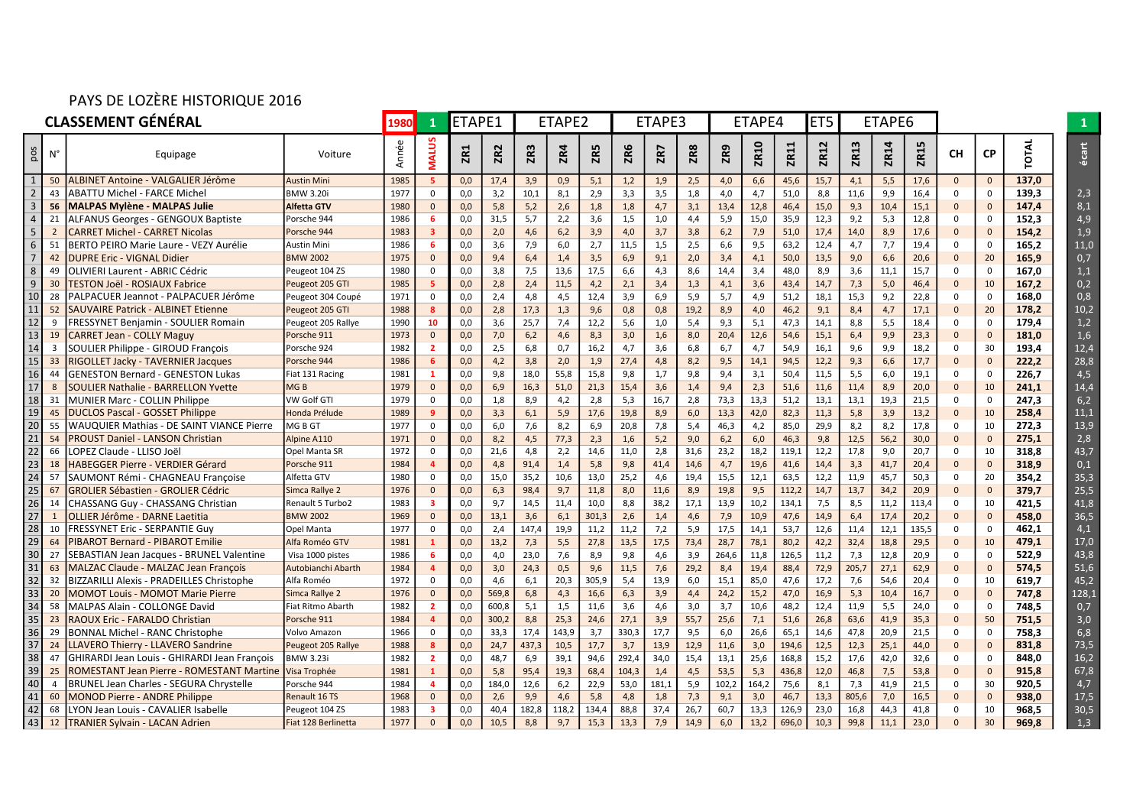## PAYS DE LOZÈRE HISTORIQUE 2016

| <b>CLASSEMENT GÉNÉRAL</b> |                         |                                                        |                     |       |                |            | ETAPE1<br>ETAPE2 |       |            |            | ETAPE3 |       | ETAPE4     |       |             | ET <sub>5</sub> | ETAPE6 |       |      |       |              |              |             |       |
|---------------------------|-------------------------|--------------------------------------------------------|---------------------|-------|----------------|------------|------------------|-------|------------|------------|--------|-------|------------|-------|-------------|-----------------|--------|-------|------|-------|--------------|--------------|-------------|-------|
| pos                       | $N^{\circ}$             | Equipage                                               | Voiture             | Année | <b>MALUS</b>   | <b>ZR1</b> | ZR <sub>2</sub>  | ZR3   | <b>ZR4</b> | <b>ZR5</b> | ZR6    | ZR7   | <b>ZR8</b> | ZR9   | <b>ZR10</b> | ZR11            | ZR12   | ZR13  | ZR14 | ZR15  | CН           | <b>CP</b>    | <b>OTAL</b> | écart |
| $\mathbf{1}$              | 50                      | ALBINET Antoine - VALGALIER Jérôme                     | <b>Austin Mini</b>  | 1985  | 5              | 0,0        | 17,4             | 3,9   | 0,9        | 5,1        | 1,2    | 1,9   | 2,5        | 4,0   | 6,6         | 45,6            | 15,7   | 4,1   | 5,5  | 17,6  | $\mathbf{0}$ | $\mathbf{0}$ | 137,0       |       |
| $\overline{2}$            | 43                      | <b>ABATTU Michel - FARCE Michel</b>                    | <b>BMW 3.20i</b>    | 1977  | $\Omega$       | 0,0        | 3,2              | 10,1  | 8,1        | 2,9        | 3,3    | 3,5   | 1,8        | 4,0   | 4,7         | 51,0            | 8,8    | 11,6  | 9,9  | 16,4  | $\Omega$     | $\Omega$     | 139,3       | 2,3   |
| 3                         | 56                      | <b>MALPAS Mylène - MALPAS Julie</b>                    | <b>Alfetta GTV</b>  | 1980  | $\mathbf{0}$   | 0,0        | 5,8              | 5,2   | 2,6        | 1,8        | 1,8    | 4,7   | 3,1        | 13,4  | 12,8        | 46,4            | 15,0   | 9,3   | 10,4 | 15,1  | $\Omega$     | $\mathbf{0}$ | 147,4       | 8,1   |
| $\overline{4}$            | 21                      | <b>LLFANUS Georges - GENGOUX Baptiste</b>              | Porsche 944         | 1986  | 6              | 0,0        | 31,5             | 5,7   | 2,2        | 3,6        | 1,5    | 1,0   | 4,4        | 5,9   | 15,0        | 35,9            | 12,3   | 9,2   | 5,3  | 12,8  | 0            | $\Omega$     | 152,3       | 4,9   |
| 5 <sup>1</sup>            | $\overline{2}$          | <b>CARRET Michel - CARRET Nicolas</b>                  | Porsche 944         | 1983  | 3              | 0,0        | 2,0              | 4,6   | 6,2        | 3,9        | 4,0    | 3,7   | 3,8        | 6,2   | 7,9         | 51,0            | 17,4   | 14,0  | 8,9  | 17,6  | $\mathbf{0}$ | $\mathbf{0}$ | 154,2       | 1,9   |
| 6 <sup>1</sup>            | 51                      | BERTO PEIRO Marie Laure - VEZY Aurélie                 | Austin Mini         | 1986  | 6              | 0,0        | 3,6              | 7,9   | 6,0        | 2,7        | 11,5   | 1,5   | 2,5        | 6,6   | 9,5         | 63,2            | 12,4   | 4,7   | 7,7  | 19,4  | $\Omega$     | $\Omega$     | 165,2       | 11,0  |
| $\overline{7}$            | 42                      | )UPRE Eric - VIGNAL Didier                             | <b>BMW 2002</b>     | 1975  | $\Omega$       | 0,0        | 9,4              | 6,4   | 1,4        | 3,5        | 6,9    | 9,1   | 2,0        | 3,4   | 4,1         | 50,0            | 13,5   | 9,0   | 6,6  | 20,6  | $\Omega$     | 20           | 165,9       | 0,7   |
| 8                         | 49                      | OLIVIERI Laurent - ABRIC Cédric                        | Peugeot 104 ZS      | 1980  | 0              | 0,0        | 3,8              | 7,5   | 13,6       | 17,5       | 6,6    | 4,3   | 8,6        | 14,4  | 3,4         | 48,0            | 8,9    | 3,6   | 11,1 | 15,7  | $\mathbf 0$  | $\mathbf 0$  | 167,0       | 1,1   |
| 9                         | 30                      | <b>ESTON Joël - ROSIAUX Fabrice</b>                    | Peugeot 205 GTI     | 1985  | 5              | 0,0        | 2,8              | 2,4   | 11,5       | 4,2        | 2,1    | 3,4   | 1,3        | 4,1   | 3,6         | 43,4            | 14,7   | 7,3   | 5,0  | 46,4  | $\Omega$     | 10           | 167,2       | 0,2   |
| 10                        | 28                      | PALPACUER Jeannot - PALPACUER Jérôme                   | Peugeot 304 Coupé   | 1971  | 0              | 0,0        | 2,4              | 4,8   | 4,5        | 12,4       | 3,9    | 6,9   | 5,9        | 5,7   | 4,9         | 51,2            | 18,1   | 15,3  | 9,2  | 22,8  | 0            | $\Omega$     | 168,0       | 0,8   |
| 11                        | 52                      | SAUVAIRE Patrick - ALBINET Etienne                     | Peugeot 205 GTI     | 1988  | 8              | 0,0        | 2,8              | 17,3  | 1,3        | 9,6        | 0,8    | 0,8   | 19,2       | 8,9   | 4,0         | 46,2            | 9,1    | 8,4   | 4,7  | 17,1  | $\mathbf{0}$ | 20           | 178,2       | 10,2  |
| 12                        | -9                      | FRESSYNET Benjamin - SOULIER Romain                    | Peugeot 205 Rallye  | 1990  | 10             | 0,0        | 3,6              | 25,7  | 7,4        | 12,2       | 5,6    | 1,0   | 5,4        | 9,3   | 5,1         | 47,3            | 14,1   | 8,8   | 5,5  | 18,4  | $\Omega$     | $\Omega$     | 179.4       | 1,2   |
| 13                        | 19                      | <b>CARRET Jean - COLLY Maguy</b>                       | Porsche 911         | 1973  | $\Omega$       | 0,0        | 7,0              | 6,2   | 4,6        | 8,3        | 3,0    | 1,6   | 8,0        | 20,4  | 12,6        | 54,6            | 15,1   | 6,4   | 9,9  | 23,3  | $\mathbf{0}$ | $\mathbf{0}$ | 181,0       | 1,6   |
| 14                        | $\overline{\mathbf{3}}$ | SOULIER Philippe - GIROUD François                     | Porsche 924         | 1982  | $\overline{2}$ | 0,0        | 2,5              | 6,8   | 0,7        | 16,2       | 4,7    | 3,6   | 6,8        | 6,7   | 4,7         | 54,9            | 16,1   | 9,6   | 9,9  | 18,2  | $\Omega$     | 30           | 193,4       | 12,4  |
| 15                        | 33                      | RIGOLLET Jacky - TAVERNIER Jacques                     | Porsche 944         | 1986  | 6              | 0,0        | 4,2              | 3,8   | 2,0        | 1,9        | 27,4   | 4,8   | 8,2        | 9,5   | 14,1        | 94,5            | 12,2   | 9,3   | 6,6  | 17,7  | $\mathbf{0}$ | $\mathbf{0}$ | 222,2       | 28,8  |
| 16                        | 44                      | GENESTON Bernard - GENESTON Lukas                      | Fiat 131 Racing     | 1981  | 1              | 0,0        | 9,8              | 18,0  | 55,8       | 15,8       | 9,8    | 1,7   | 9,8        | 9,4   | 3,1         | 50,4            | 11,5   | 5,5   | 6,0  | 19,1  | $\Omega$     | $\Omega$     | 226,7       | 4,5   |
| 17                        | -8                      | <b>SOULIER Nathalie - BARRELLON Yvette</b>             | MG <sub>B</sub>     | 1979  | $\Omega$       | 0,0        | 6,9              | 16,3  | 51,0       | 21,3       | 15,4   | 3,6   | 1,4        | 9,4   | 2,3         | 51,6            | 11,6   | 11,4  | 8,9  | 20,0  | $\Omega$     | 10           | 241,1       | 14,4  |
| 18                        | -31                     | <b>MUNIER Marc - COLLIN Philippe</b>                   | VW Golf GTI         | 1979  | 0              | 0,0        | 1,8              | 8,9   | 4,2        | 2,8        | 5,3    | 16,7  | 2,8        | 73,3  | 13,3        | 51,2            | 13,1   | 13,1  | 19,3 | 21,5  | 0            | $\Omega$     | 247,3       | 6,2   |
| 19                        | 4 <sup>5</sup>          | <b>DUCLOS Pascal - GOSSET Philippe</b>                 | Honda Prélude       | 1989  |                | 0,0        | 3,3              | 6,1   | 5,9        | 17,6       | 19,8   | 8,9   | 6,0        | 13,3  | 42,0        | 82,3            | 11,3   | 5,8   | 3,9  | 13,2  | $\Omega$     | 10           | 258,4       | 11.1  |
| 20                        | 55                      | WAUQUIER Mathias - DE SAINT VIANCE Pierre              | MG B GT             | 1977  | 0              | 0,0        | 6,0              | 7,6   | 8,2        | 6,9        | 20,8   | 7,8   | 5,4        | 46,3  | 4,2         | 85,0            | 29,9   | 8,2   | 8,2  | 17,8  | 0            | 10           | 272,3       | 13,9  |
| 21                        | 54                      | <b>PROUST Daniel - LANSON Christian</b>                | Alpine A110         | 1971  | $\Omega$       | 0,0        | 8,2              | 4,5   | 77,3       | 2,3        | 1,6    | 5,2   | 9,0        | 6,2   | 6,0         | 46,3            | 9,8    | 12,5  | 56,2 | 30,0  | $\Omega$     | $\mathbf{0}$ | 275,1       | 2,8   |
| 22                        | 66                      | OPEZ Claude - LLISO Joël                               | Opel Manta SR       | 1972  | $\Omega$       | 0,0        | 21,6             | 4,8   | 2,2        | 14,6       | 11,0   | 2,8   | 31,6       | 23,2  | 18,2        | 119,1           | 12,2   | 17,8  | 9,0  | 20,7  | $\mathbf{0}$ | 10           | 318,8       | 43,7  |
| 23                        | 18                      | HABEGGER Pierre - VERDIER Gérard                       | Porsche 911         | 1984  | 4              | 0,0        | 4,8              | 91,4  | 1,4        | 5,8        | 9,8    | 41,4  | 14,6       | 4,7   | 19,6        | 41,6            | 14,4   | 3,3   | 41,7 | 20,4  | $\Omega$     | $\mathbf{0}$ | 318,9       | 0,1   |
| 24                        | 57                      | SAUMONT Rémi - CHAGNEAU Françoise                      | Alfetta GTV         | 1980  | $\Omega$       | 0.0        | 15,0             | 35,2  | 10,6       | 13,0       | 25,2   | 4,6   | 19,4       | 15,5  | 12,1        | 63,5            | 12,2   | 11,9  | 45,7 | 50,3  | $\mathbf{0}$ | 20           | 354,2       | 35,3  |
| 25                        | 67                      | GROLIER Sébastien - GROLIER Cédric                     | Simca Rallye 2      | 1976  | $\mathbf{0}$   | 0,0        | 6,3              | 98,4  | 9,7        | 11,8       | 8,0    | 11,6  | 8,9        | 19,8  | 9,5         | 112,2           | 14,7   | 13,7  | 34,2 | 20,9  | $\Omega$     | $\mathbf{0}$ | 379,7       | 25,5  |
| 26                        | 14                      | CHASSANG Guy - CHASSANG Christian                      | Renault 5 Turbo2    | 1983  | з              | 0,0        | 9,7              | 14,5  | 11,4       | 10,0       | 8,8    | 38,2  | 17,1       | 13,9  | 10,2        | 134,1           | 7,5    | 8,5   | 11,2 | 113,4 | $\Omega$     | 10           | 421,5       | 41,8  |
| 27                        | -1                      | OLLIER Jérôme - DARNE Laetitia                         | <b>BMW 2002</b>     | 1969  | $\mathbf{0}$   | 0,0        | 13,1             | 3,6   | 6,1        | 301,3      | 2,6    | 1,4   | 4,6        | 7,9   | 10,9        | 47,6            | 14,9   | 6,4   | 17,4 | 20,2  | $\mathbf{0}$ | $\mathbf{0}$ | 458,0       | 36,5  |
| 28                        | 10                      | FRESSYNET Eric - SERPANTIE Guv                         | Opel Manta          | 1977  | 0              | 0,0        | 2,4              | 147.4 | 19,9       | 11,2       | 11,2   | 7,2   | 5,9        | 17,5  | 14,1        | 53,7            | 12,6   | 11,4  | 12,1 | 135,5 | 0            | $\Omega$     | 462,1       | 4,1   |
| 29                        | 64                      | <b>IBAROT Bernard - PIBAROT Emilie</b>                 | Alfa Roméo GTV      | 1981  |                | 0,0        | 13,2             | 7,3   | 5,5        | 27,8       | 13,5   | 17,5  | 73,4       | 28,7  | 78,1        | 80,2            | 42,2   | 32,4  | 18,8 | 29,5  | $\Omega$     | 10           | 479,1       | 17,0  |
| 30 <sup>°</sup>           | 27                      | SEBASTIAN Jean Jacques - BRUNEL Valentine              | Visa 1000 pistes    | 1986  | 6              | 0,0        | 4,0              | 23,0  | 7,6        | 8,9        | 9,8    | 4,6   | 3,9        | 264,6 | 11,8        | 126,5           | 11,2   | 7,3   | 12,8 | 20,9  | 0            | $\Omega$     | 522,9       | 43,8  |
| 31                        | 63                      | <b>MALZAC Claude - MALZAC Jean François</b>            | Autobianchi Abarth  | 1984  | $\Delta$       | 0,0        | 3,0              | 24,3  | 0,5        | 9,6        | 11,5   | 7,6   | 29,2       | 8,4   | 19,4        | 88,4            | 72,9   | 205,7 | 27,1 | 62,9  | $\Omega$     | $\mathbf{0}$ | 574,5       | 51,6  |
| 32                        | 32                      | BIZZARILLI Alexis - PRADEILLES Christophe              | Alfa Roméo          | 1972  | $\mathbf{0}$   | 0,0        | 4,6              | 6,1   | 20,3       | 305,9      | 5,4    | 13,9  | 6,0        | 15,1  | 85,0        | 47,6            | 17,2   | 7,6   | 54,6 | 20,4  | $\mathbf{0}$ | 10           | 619,7       | 45,2  |
| 33                        | 20                      | <b>MOMOT Louis - MOMOT Marie Pierre</b>                | Simca Rallye 2      | 1976  | $\Omega$       | 0,0        | 569,8            | 6,8   | 4,3        | 16,6       | 6,3    | 3,9   | 4,4        | 24,2  | 15,2        | 47,0            | 16,9   | 5,3   | 10,4 | 16,7  | $\Omega$     | $\mathbf{0}$ | 747,8       | 128,1 |
| 34                        | 58                      | MALPAS Alain - COLLONGE David                          | Fiat Ritmo Abarth   | 1982  | $\overline{2}$ | 0,0        | 600,8            | 5,1   | 1,5        | 11,6       | 3,6    | 4,6   | 3,0        | 3,7   | 10,6        | 48,2            | 12,4   | 11,9  | 5,5  | 24,0  | 0            | $\Omega$     | 748,5       | 0,7   |
| 35                        | 23                      | RAOUX Eric - FARALDO Christian                         | Porsche 911         | 1984  | $\mathbf{a}$   | 0,0        | 300,2            | 8,8   | 25,3       | 24,6       | 27,1   | 3,9   | 55,7       | 25,6  | 7,1         | 51,6            | 26,8   | 63,6  | 41,9 | 35,3  | $\Omega$     | 50           | 751,5       | 3,0   |
| 36                        | 29                      | 3ONNAL Michel - RANC Christophe                        | Volvo Amazon        | 1966  | $\mathbf{0}$   | 0,0        | 33,3             | 17,4  | 143,9      | 3,7        | 330,3  | 17,7  | 9,5        | 6,0   | 26,6        | 65,1            | 14,6   | 47,8  | 20,9 | 21,5  | $\Omega$     | $\Omega$     | 758,3       | 6,8   |
| 37                        | 24                      | <b>LAVERO Thierry - LLAVERO Sandrine</b>               | Peugeot 205 Rallye  | 1988  | 8              | 0,0        | 24,7             | 437,3 | 10,5       | 17,7       | 3,7    | 13,9  | 12,9       | 11,6  | 3,0         | 194,6           | 12,5   | 12,3  | 25,1 | 44,0  | $\Omega$     | $\Omega$     | 831,8       | 73,5  |
| 38                        | 47                      | GHIRARDI Jean Louis - GHIRARDI Jean François           | <b>BMW 3.23i</b>    | 1982  | $\overline{2}$ | 0,0        | 48,7             | 6,9   | 39,1       | 94,6       | 292,4  | 34,0  | 15,4       | 13,1  | 25,6        | 168,8           | 15,2   | 17,6  | 42,0 | 32,6  | 0            | $\Omega$     | 848,0       | 16,2  |
| 39                        | 25                      | ROMESTANT Jean Pierre - ROMESTANT Martine Visa Trophée |                     | 1981  |                | 0,0        | 5,8              | 95,4  | 19,3       | 68,4       | 104,3  | 1,4   | 4,5        | 53,5  | 5,3         | 436,8           | 12,0   | 46,8  | 7,5  | 53,8  | $\mathbf{0}$ | $\Omega$     | 915,8       | 67,8  |
| 40                        | $\overline{a}$          | BRUNEL Jean Charles - SEGURA Chrystelle                | Porsche 944         | 1984  | 4              | 0,0        | 184,0            | 12,6  | 6,2        | 22,9       | 53,0   | 181,1 | 5,9        | 102,2 | 164,2       | 75,6            | 8,1    | 7,3   | 41,9 | 21,5  | $\Omega$     | 30           | 920,5       | 4,7   |
| 41                        | 60                      | <b>MONOD Pierre - ANDRE Philippe</b>                   | Renault 16 TS       | 1968  | $\Omega$       | 0,0        | 2,6              | 9,9   | 4,6        | 5,8        | 4,8    | 1,8   | 7,3        | 9,1   | 3,0         | 46,7            | 13,3   | 805,6 | 7,0  | 16,5  | $\Omega$     | $\Omega$     | 938,0       | 17,5  |
| 42                        | 68                      | .YON Jean Louis - CAVALIER Isabelle                    | Peugeot 104 ZS      | 1983  | 3              | 0,0        | 40,4             | 182,8 | 118,2      | 134,4      | 88,8   | 37,4  | 26,7       | 60,7  | 13,3        | 126,9           | 23,0   | 16,8  | 44,3 | 41,8  | $\Omega$     | 10           | 968,5       | 30,5  |
|                           |                         | 43 12 TRANIER Sylvain - LACAN Adrien                   | Fiat 128 Berlinetta | 1977  | $\mathbf{0}$   | 0,0        | 10,5             | 8,8   | 9,7        | 15,3       | 13,3   | 7,9   | 14,9       | 6,0   | 13,2        | 696,0           | 10,3   | 99,8  | 11,1 | 23,0  | $\Omega$     | 30           | 969,8       | 1,3   |
|                           |                         |                                                        |                     |       |                |            |                  |       |            |            |        |       |            |       |             |                 |        |       |      |       |              |              |             |       |